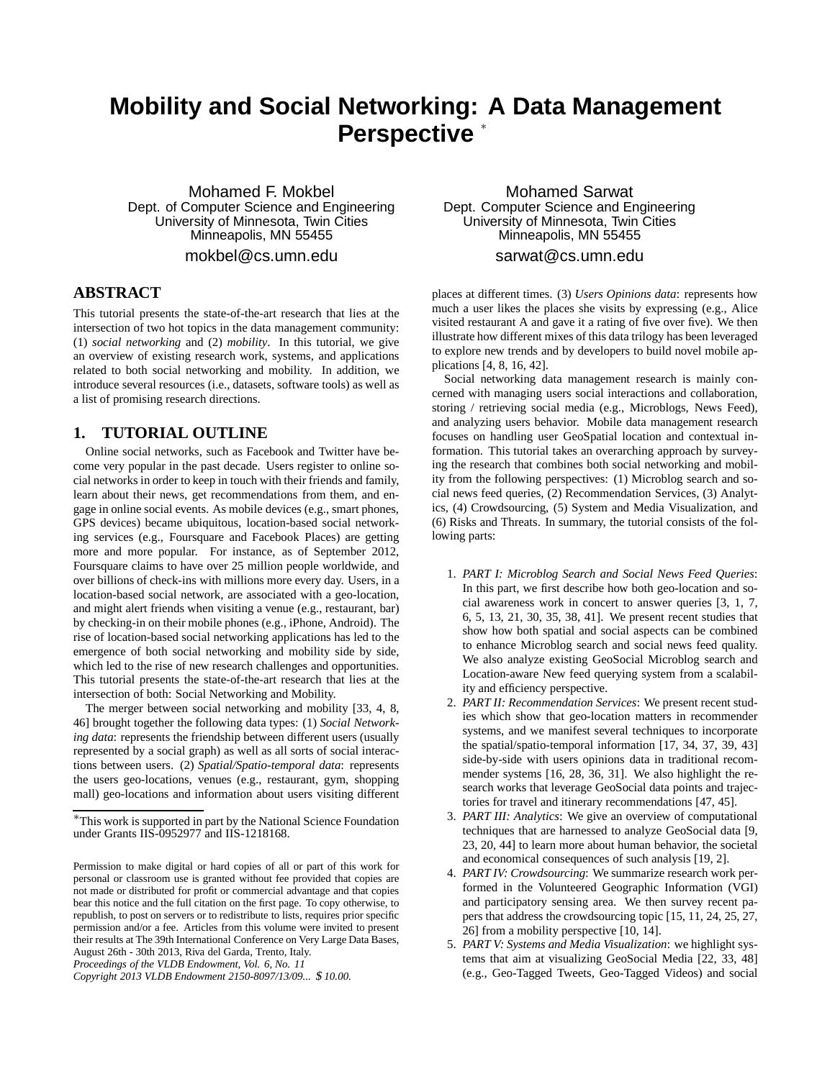## **Mobility and Social Networking: A Data Management Perspective** <sup>∗</sup>

Mohamed F. Mokbel Dept. of Computer Science and Engineering University of Minnesota, Twin Cities Minneapolis, MN 55455

mokbel@cs.umn.edu

## **ABSTRACT**

This tutorial presents the state-of-the-art research that lies at the intersection of two hot topics in the data management community: (1) *social networking* and (2) *mobility*. In this tutorial, we give an overview of existing research work, systems, and applications related to both social networking and mobility. In addition, we introduce several resources (i.e., datasets, software tools) as well as a list of promising research directions.

## **1. TUTORIAL OUTLINE**

Online social networks, such as Facebook and Twitter have become very popular in the past decade. Users register to online social networks in order to keep in touch with their friends and family, learn about their news, get recommendations from them, and engage in online social events. As mobile devices (e.g., smart phones, GPS devices) became ubiquitous, location-based social networking services (e.g., Foursquare and Facebook Places) are getting more and more popular. For instance, as of September 2012, Foursquare claims to have over 25 million people worldwide, and over billions of check-ins with millions more every day. Users, in a location-based social network, are associated with a geo-location, and might alert friends when visiting a venue (e.g., restaurant, bar) by checking-in on their mobile phones (e.g., iPhone, Android). The rise of location-based social networking applications has led to the emergence of both social networking and mobility side by side, which led to the rise of new research challenges and opportunities. This tutorial presents the state-of-the-art research that lies at the intersection of both: Social Networking and Mobility.

The merger between social networking and mobility [33, 4, 8, 46] brought together the following data types: (1) *Social Networking data*: represents the friendship between different users (usually represented by a social graph) as well as all sorts of social interactions between users. (2) *Spatial/Spatio-temporal data*: represents the users geo-locations, venues (e.g., restaurant, gym, shopping mall) geo-locations and information about users visiting different

*Proceedings of the VLDB Endowment, Vol. 6, No. 11*

Mohamed Sarwat Dept. Computer Science and Engineering University of Minnesota, Twin Cities Minneapolis, MN 55455

sarwat@cs.umn.edu

places at different times. (3) *Users Opinions data*: represents how much a user likes the places she visits by expressing (e.g., Alice visited restaurant A and gave it a rating of five over five). We then illustrate how different mixes of this data trilogy has been leveraged to explore new trends and by developers to build novel mobile applications [4, 8, 16, 42].

Social networking data management research is mainly concerned with managing users social interactions and collaboration, storing / retrieving social media (e.g., Microblogs, News Feed), and analyzing users behavior. Mobile data management research focuses on handling user GeoSpatial location and contextual information. This tutorial takes an overarching approach by surveying the research that combines both social networking and mobility from the following perspectives: (1) Microblog search and social news feed queries, (2) Recommendation Services, (3) Analytics, (4) Crowdsourcing, (5) System and Media Visualization, and (6) Risks and Threats. In summary, the tutorial consists of the following parts:

- 1. *PART I: Microblog Search and Social News Feed Queries*: In this part, we first describe how both geo-location and social awareness work in concert to answer queries [3, 1, 7, 6, 5, 13, 21, 30, 35, 38, 41]. We present recent studies that show how both spatial and social aspects can be combined to enhance Microblog search and social news feed quality. We also analyze existing GeoSocial Microblog search and Location-aware New feed querying system from a scalability and efficiency perspective.
- 2. *PART II: Recommendation Services*: We present recent studies which show that geo-location matters in recommender systems, and we manifest several techniques to incorporate the spatial/spatio-temporal information [17, 34, 37, 39, 43] side-by-side with users opinions data in traditional recommender systems [16, 28, 36, 31]. We also highlight the research works that leverage GeoSocial data points and trajectories for travel and itinerary recommendations [47, 45].
- 3. *PART III: Analytics*: We give an overview of computational techniques that are harnessed to analyze GeoSocial data [9, 23, 20, 44] to learn more about human behavior, the societal and economical consequences of such analysis [19, 2].
- 4. *PART IV: Crowdsourcing*: We summarize research work performed in the Volunteered Geographic Information (VGI) and participatory sensing area. We then survey recent papers that address the crowdsourcing topic [15, 11, 24, 25, 27, 26] from a mobility perspective [10, 14].
- 5. *PART V: Systems and Media Visualization*: we highlight systems that aim at visualizing GeoSocial Media [22, 33, 48] (e.g., Geo-Tagged Tweets, Geo-Tagged Videos) and social

<sup>∗</sup>This work is supported in part by the National Science Foundation under Grants IIS-0952977 and IIS-1218168.

Permission to make digital or hard copies of all or part of this work for personal or classroom use is granted without fee provided that copies are not made or distributed for profit or commercial advantage and that copies bear this notice and the full citation on the first page. To copy otherwise, to republish, to post on servers or to redistribute to lists, requires prior specific permission and/or a fee. Articles from this volume were invited to present their results at The 39th International Conference on Very Large Data Bases, August 26th - 30th 2013, Riva del Garda, Trento, Italy.

*Copyright 2013 VLDB Endowment 2150-8097/13/09...* \$ *10.00.*